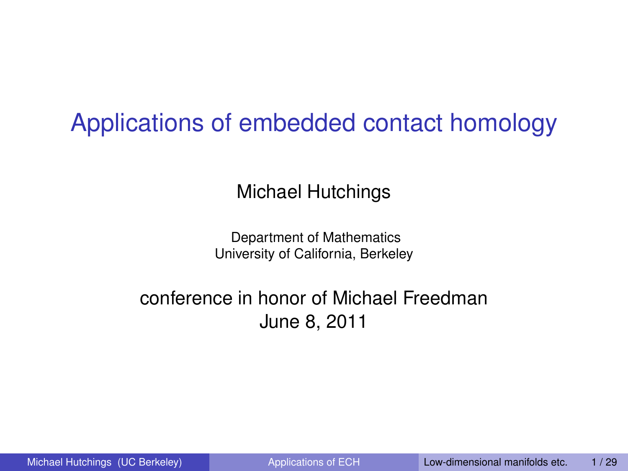### <span id="page-0-0"></span>Applications of embedded contact homology

Michael Hutchings

<span id="page-0-1"></span>Department of Mathematics University of California, Berkeley

#### conference in honor of Michael Freedman June 8, 2011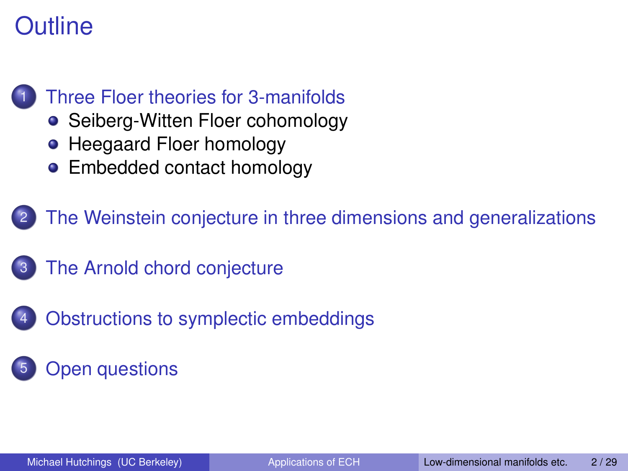### **Outline**



- [Seiberg-Witten Floer cohomology](#page-3-0)
- [Heegaard Floer homology](#page-4-0)
- [Embedded contact homology](#page-5-0)

[The Weinstein conjecture in three dimensions and generalizations](#page-11-0)

- [The Arnold chord conjecture](#page-19-0)
- [Obstructions to symplectic embeddings](#page-23-0)
- **[Open questions](#page-0-0)**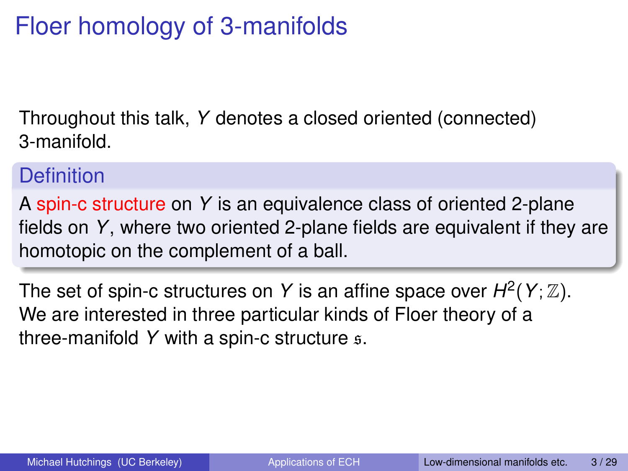### Floer homology of 3-manifolds

Throughout this talk, *Y* denotes a closed oriented (connected) 3-manifold.

#### **Definition**

A spin-c structure on *Y* is an equivalence class of oriented 2-plane fields on *Y*, where two oriented 2-plane fields are equivalent if they are homotopic on the complement of a ball.

<span id="page-2-0"></span>The set of spin-c structures on Y is an affine space over  $H^2(Y; \mathbb{Z})$ . We are interested in three particular kinds of Floer theory of a three-manifold *Y* with a spin-c structure s.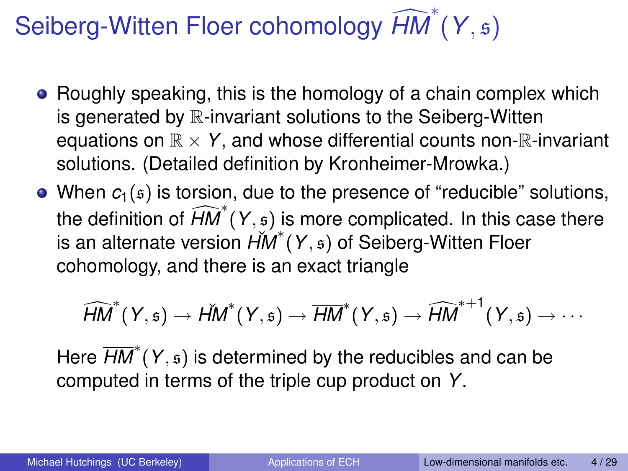# Seiberg-Witten Floer cohomology  $\widehat{HM}^*(Y, \mathfrak{s})$

- Roughly speaking, this is the homology of a chain complex which is generated by R-invariant solutions to the Seiberg-Witten equations on  $\mathbb{R} \times Y$ , and whose differential counts non- $\mathbb{R}$ -invariant solutions. (Detailed definition by Kronheimer-Mrowka.)
- When  $c_1(s)$  is torsion, due to the presence of "reducible" solutions, the definition of  $\widehat{HM}^*(Y, \mathfrak{s})$  is more complicated. In this case there is an alternate version  $\acute{H}\hspace{-.025cm}M^*(Y, \mathfrak{s})$  of Seiberg-Witten Floer cohomology, and there is an exact triangle

<span id="page-3-0"></span>
$$
\widehat{\mathit{HM}}^\ast(Y,\mathfrak s)\to\check{\mathit{HM}}^\ast(Y,\mathfrak s)\to\overline{\mathit{HM}}^\ast(Y,\mathfrak s)\to\widehat{\mathit{HM}}^{\ast+1}(Y,\mathfrak s)\to\cdots
$$

Here *HM*<sup>∗</sup> (*Y*, s) is determined by the reducibles and can be computed in terms of the triple cup product on *Y*.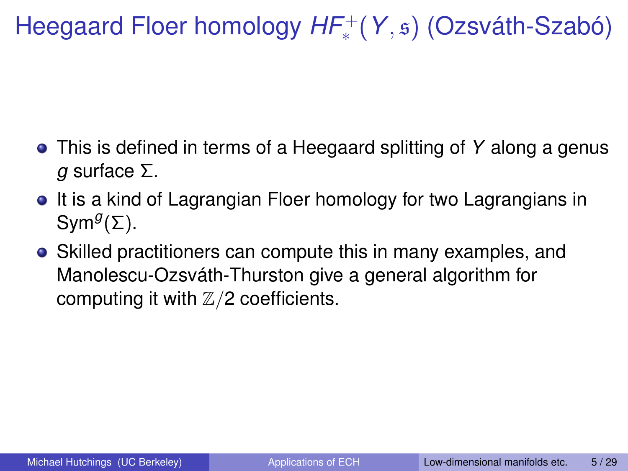Heegaard Floer homology HF<sup>+</sup>(Y, s) (Ozsváth-Szabó)

- This is defined in terms of a Heegaard splitting of *Y* along a genus *g* surface Σ.
- It is a kind of Lagrangian Floer homology for two Lagrangians in Sym*<sup>g</sup>* (Σ).
- <span id="page-4-0"></span>Skilled practitioners can compute this in many examples, and Manolescu-Ozsváth-Thurston give a general algorithm for computing it with  $\mathbb{Z}/2$  coefficients.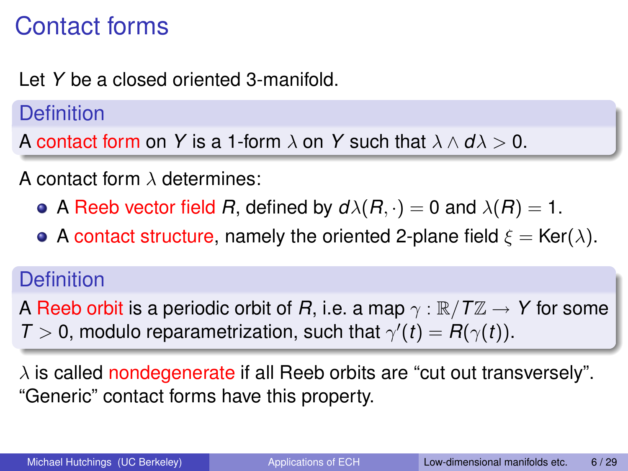### Contact forms

Let *Y* be a closed oriented 3-manifold.

**Definition** 

A contact form on *Y* is a 1-form  $\lambda$  on *Y* such that  $\lambda \wedge d\lambda > 0$ .

A contact form  $\lambda$  determines:

- A Reeb vector field *R*, defined by  $d\lambda(R, \cdot) = 0$  and  $\lambda(R) = 1$ .
- A contact structure, namely the oriented 2-plane field  $\xi = \text{Ker}(\lambda)$ .

#### **Definition**

A Reeb orbit is a periodic orbit of *R*, i.e. a map  $\gamma : \mathbb{R}/T\mathbb{Z} \to Y$  for some  $T > 0$ , modulo reparametrization, such that  $\gamma'(t) = R(\gamma(t))$ .

<span id="page-5-0"></span> $\lambda$  is called nondegenerate if all Reeb orbits are "cut out transversely". "Generic" contact forms have this property.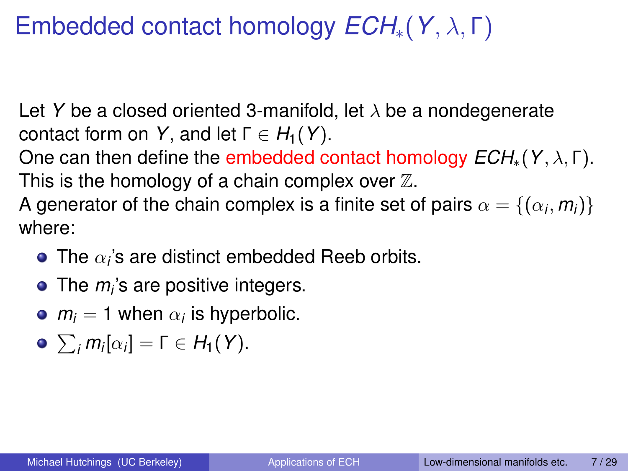### Embedded contact homology *ECH*∗(*Y*, λ, Γ)

Let *Y* be a closed oriented 3-manifold, let λ be a nondegenerate contact form on *Y*, and let  $\Gamma \in H_1(Y)$ .

One can then define the embedded contact homology *ECH*∗(*Y*, λ, Γ). This is the homology of a chain complex over  $\mathbb Z$ .

A generator of the chain complex is a finite set of pairs  $\alpha = \{(\alpha_i, \textit{m}_i)\}$ where:

- The  $\alpha_i$ 's are distinct embedded Reeb orbits.
- The *m<sup>i</sup>* 's are positive integers.
- $m_i = 1$  when  $\alpha_i$  is hyperbolic.
- $\sum_i m_i [\alpha_i] = \Gamma \in H_1(Y).$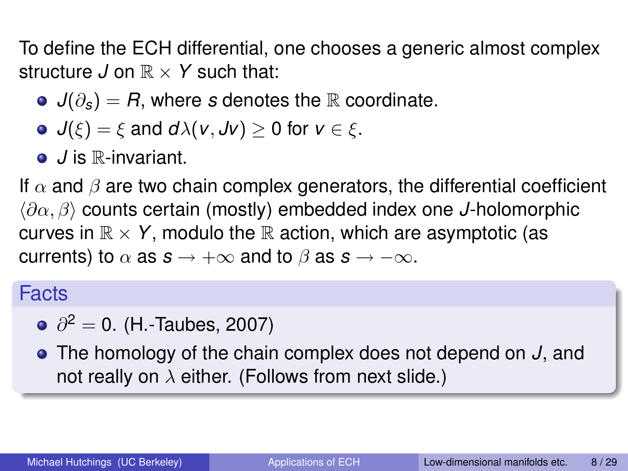To define the ECH differential, one chooses a generic almost complex structure  $J$  on  $\mathbb{R} \times Y$  such that:

- $\bullet$  *J*( $\partial$ <sub>s</sub>) = *R*, where *s* denotes the R coordinate.
- $\bullet$  *J*( $\xi$ ) =  $\xi$  and *d* $\lambda$ (*v*, *Jv*) > 0 for *v*  $\in \xi$ .
- *J* is ℝ-invariant.

If  $\alpha$  and  $\beta$  are two chain complex generators, the differential coefficient h∂α, βi counts certain (mostly) embedded index one *J*-holomorphic curves in  $\mathbb{R} \times Y$ , modulo the  $\mathbb{R}$  action, which are asymptotic (as currents) to  $\alpha$  as  $s \rightarrow +\infty$  and to  $\beta$  as  $s \rightarrow -\infty$ .

Facts

 $\partial^2=$  0. (H.-Taubes, 2007)

The homology of the chain complex does not depend on *J*, and not really on  $\lambda$  either. (Follows from next slide.)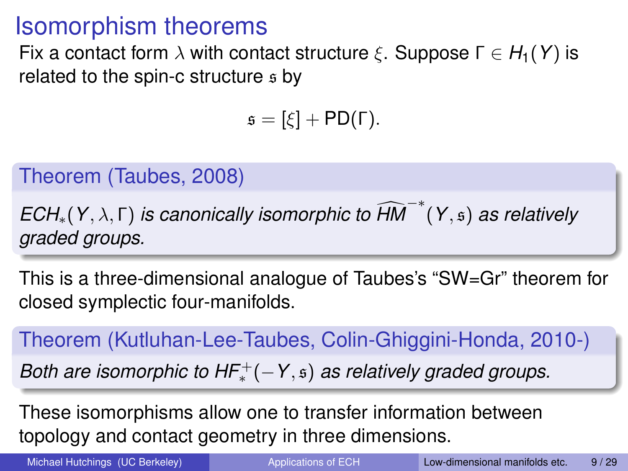### Isomorphism theorems

Fix a contact form  $\lambda$  with contact structure  $\xi$ . Suppose  $\Gamma \in H_1(Y)$  is related to the spin-c structure  $s$  by

 $s = [\xi] + \text{PD}(\Gamma).$ 

Theorem (Taubes, 2008)

*ECH*<sub>∗</sub>(*Y*,  $λ$ , Γ) *is canonically isomorphic to*  $\widehat{HM}^{-*}(Y,₅)$  *as relatively graded groups.*

This is a three-dimensional analogue of Taubes's "SW=Gr" theorem for closed symplectic four-manifolds.

Theorem (Kutluhan-Lee-Taubes, Colin-Ghiggini-Honda, 2010-)

*Both are isomorphic to HF*<sup>+</sup>(−*Y*,  $\boldsymbol{\mathfrak{s}}$ ) *as relatively graded groups.* 

These isomorphisms allow one to transfer information between topology and contact geometry in three dimensions.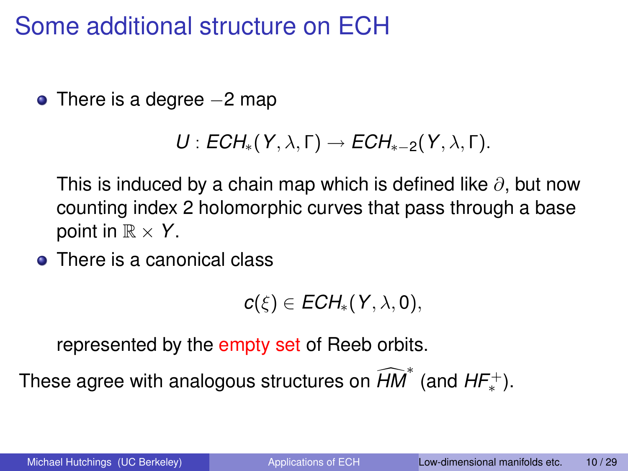### Some additional structure on ECH

 $\bullet$  There is a degree  $-2$  map

$$
U: ECH_*(Y,\lambda,\Gamma) \to ECH_{*-2}(Y,\lambda,\Gamma).
$$

This is induced by a chain map which is defined like  $\partial$ , but now counting index 2 holomorphic curves that pass through a base point in  $\mathbb{R} \times Y$ .

• There is a canonical class

$$
c(\xi)\in ECH_*(Y,\lambda,0),
$$

represented by the empty set of Reeb orbits.

These agree with analogous structures on  $\widehat{HM}^*$  (and  $HF_*^+$ ).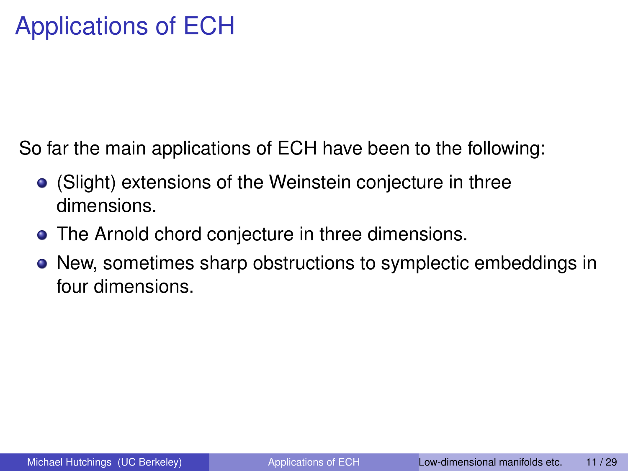So far the main applications of ECH have been to the following:

- (Slight) extensions of the Weinstein conjecture in three dimensions.
- **The Arnold chord conjecture in three dimensions.**
- New, sometimes sharp obstructions to symplectic embeddings in four dimensions.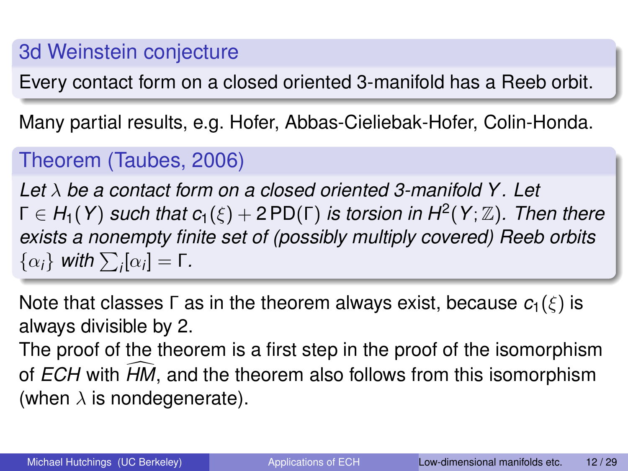#### 3d Weinstein conjecture

Every contact form on a closed oriented 3-manifold has a Reeb orbit.

Many partial results, e.g. Hofer, Abbas-Cieliebak-Hofer, Colin-Honda.

#### Theorem (Taubes, 2006)

*Let* λ *be a contact form on a closed oriented 3-manifold Y . Let* Γ ∈ *H*1(*Y*) *such that c*1(ξ) + 2 PD(Γ) *is torsion in H*<sup>2</sup> (*Y*; Z)*. Then there exists a nonempty finite set of (possibly multiply covered) Reeb orbits*  $\{\alpha_i\}$  with  $\sum_i [\alpha_i] = \Gamma$ .

Note that classes  $\Gamma$  as in the theorem always exist, because  $c_1(\xi)$  is always divisible by 2.

<span id="page-11-0"></span>The proof of the theorem is a first step in the proof of the isomorphism of *ECH* with *HM*, and the theorem also follows from this isomorphism (when  $\lambda$  is nondegenerate).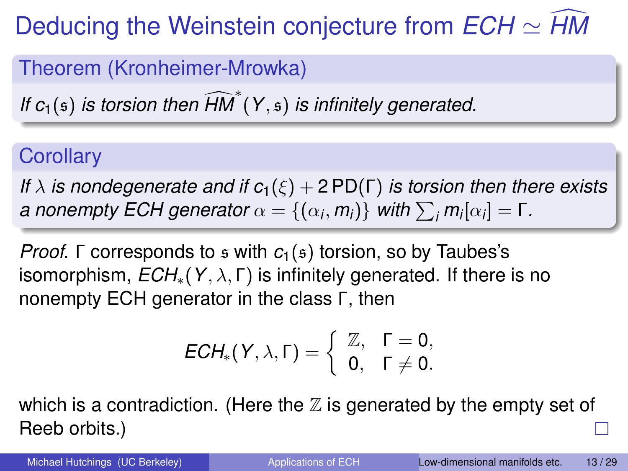## Deducing the Weinstein conjecture from  $ECH \simeq H/M$

Theorem (Kronheimer-Mrowka)

*If*  $c_1(s)$  *is torsion then*  $\widehat{HM}^*(Y, s)$  *is infinitely generated.* 

#### **Corollary**

*If*  $\lambda$  *is nondegenerate and if*  $c_1(\xi) + 2PD(\Gamma)$  *is torsion then there exists a* nonempty ECH generator  $\alpha = \{(\alpha_i, m_i)\}$  with  $\sum_i m_i[\alpha_i] = Γ$ .

*Proof.* Γ corresponds to *s* with *c*<sub>1</sub>(*s*) torsion, so by Taubes's isomorphism,  $ECH_*(Y, \lambda, \Gamma)$  is infinitely generated. If there is no nonempty ECH generator in the class Γ, then

$$
ECH_*(Y,\lambda,\Gamma)=\left\{\begin{array}{ll} \mathbb{Z}, & \Gamma=0,\\ 0, & \Gamma\neq 0.\end{array}\right.
$$

which is a contradiction. (Here the  $\mathbb Z$  is generated by the empty set of Reeb orbits.)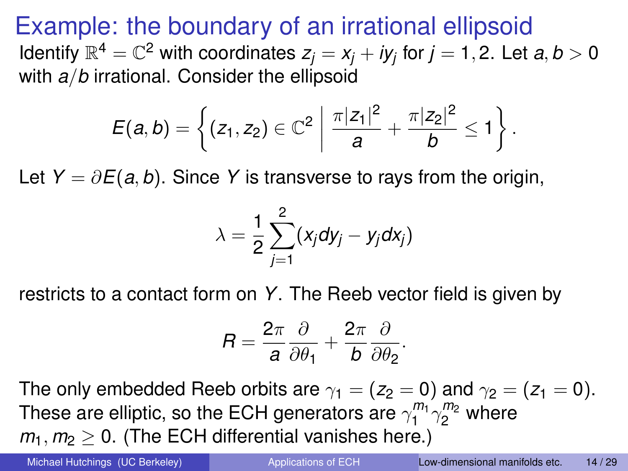Example: the boundary of an irrational ellipsoid Identify  $\mathbb{R}^4=\mathbb{C}^2$  with coordinates  $z_j=x_j+iy_j$  for  $j=1,2.$  Let  $a,b>0$ with *a*/*b* irrational. Consider the ellipsoid

$$
E(a,b) = \left\{ (z_1, z_2) \in \mathbb{C}^2 \; \middle| \; \frac{\pi |z_1|^2}{a} + \frac{\pi |z_2|^2}{b} \leq 1 \right\}.
$$

Let *Y* =  $\partial E(a, b)$ . Since *Y* is transverse to rays from the origin,

$$
\lambda = \frac{1}{2} \sum_{j=1}^{2} (x_j dy_j - y_j dx_j)
$$

restricts to a contact form on *Y*. The Reeb vector field is given by

$$
R=\frac{2\pi}{a}\frac{\partial}{\partial\theta_1}+\frac{2\pi}{b}\frac{\partial}{\partial\theta_2}.
$$

The only embedded Reeb orbits are  $\gamma_1 = (z_2 = 0)$  and  $\gamma_2 = (z_1 = 0)$ . These are elliptic, so the ECH generators are  $\gamma_1^{m_1} \gamma_2^{m_2}$  where  $m_1$ ,  $m_2 > 0$ . (The ECH differential vanishes here.)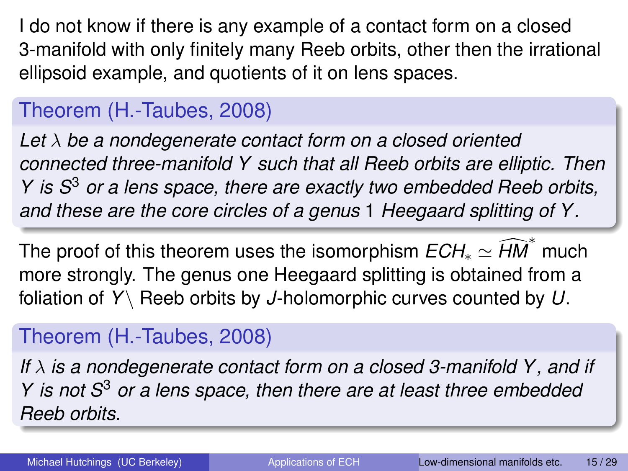I do not know if there is any example of a contact form on a closed 3-manifold with only finitely many Reeb orbits, other then the irrational ellipsoid example, and quotients of it on lens spaces.

#### Theorem (H.-Taubes, 2008)

*Let* λ *be a nondegenerate contact form on a closed oriented connected three-manifold Y such that all Reeb orbits are elliptic. Then Y is S*<sup>3</sup> *or a lens space, there are exactly two embedded Reeb orbits, and these are the core circles of a genus* 1 *Heegaard splitting of Y .*

The proof of this theorem uses the isomorphism  $ECH_* \simeq \widehat{HM}^*$  much more strongly. The genus one Heegaard splitting is obtained from a foliation of *Y*\ Reeb orbits by *J*-holomorphic curves counted by *U*.

#### Theorem (H.-Taubes, 2008)

*If* λ *is a nondegenerate contact form on a closed 3-manifold Y , and if Y is not S*<sup>3</sup> *or a lens space, then there are at least three embedded Reeb orbits.*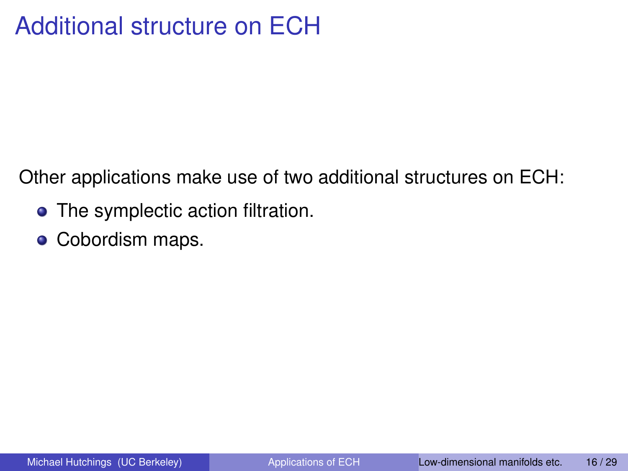### Additional structure on ECH

Other applications make use of two additional structures on ECH:

- The symplectic action filtration.
- Cobordism maps.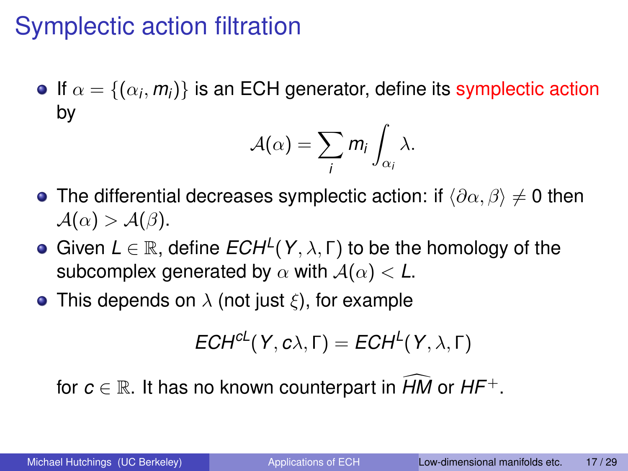### Symplectic action filtration

If  $\alpha=\{(\alpha_i,m_i)\}$  is an ECH generator, define its symplectic action by

$$
\mathcal{A}(\alpha)=\sum_i m_i \int_{\alpha_i} \lambda.
$$

- **•** The differential decreases symplectic action: if  $\langle \partial \alpha, \beta \rangle \neq 0$  then  $\mathcal{A}(\alpha) > \mathcal{A}(\beta).$
- Given  $L \in \mathbb{R}$ , define  $ECH^L(Y, \lambda, \Gamma)$  to be the homology of the subcomplex generated by  $\alpha$  with  $A(\alpha) < L$ .
- This depends on  $\lambda$  (not just  $\xi$ ), for example

$$
ECH^{cL}(Y,c\lambda,\Gamma)=ECH^{L}(Y,\lambda,\Gamma)
$$

for  $c \in \mathbb{R}$ . It has no known counterpart in *HM* or *HF*<sup>+</sup>.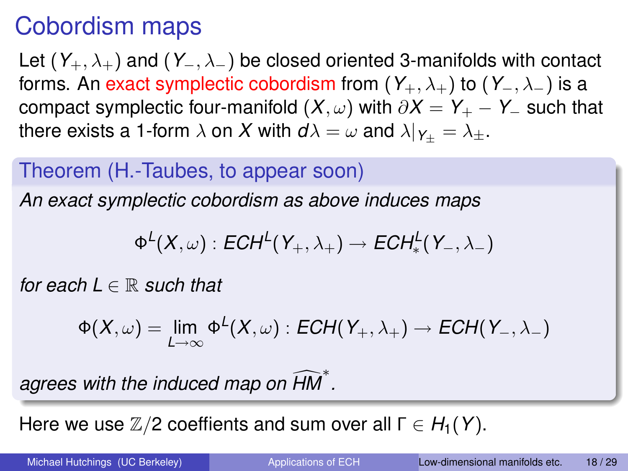### Cobordism maps

Let (*Y*+, λ+) and (*Y*−, λ−) be closed oriented 3-manifolds with contact forms. An exact symplectic cobordism from  $(Y_+, \lambda_+)$  to  $(Y_-, \lambda_-)$  is a compact symplectic four-manifold  $(X, \omega)$  with  $\partial X = Y_+ - Y_-$  such that there exists a 1-form  $\lambda$  on *X* with  $d\lambda = \omega$  and  $\lambda|_{Y_+} = \lambda_{\pm}$ .

#### Theorem (H.-Taubes, to appear soon)

*An exact symplectic cobordism as above induces maps*

$$
\Phi^L(X,\omega):ECH^L(Y_+,\lambda_+)\to ECH^L_*(Y_-,\lambda_-)
$$

*for each*  $L \in \mathbb{R}$  *such that* 

$$
\Phi(X,\omega)=\lim_{L\to\infty}\Phi^L(X,\omega):ECH(Y_+,\lambda_+)\to ECH(Y_-,\lambda_-)
$$

agrees with the induced map on  $\widehat{HM}^*$ .

Here we use  $\mathbb{Z}/2$  coeffients and sum over all  $\Gamma \in H_1(Y)$ .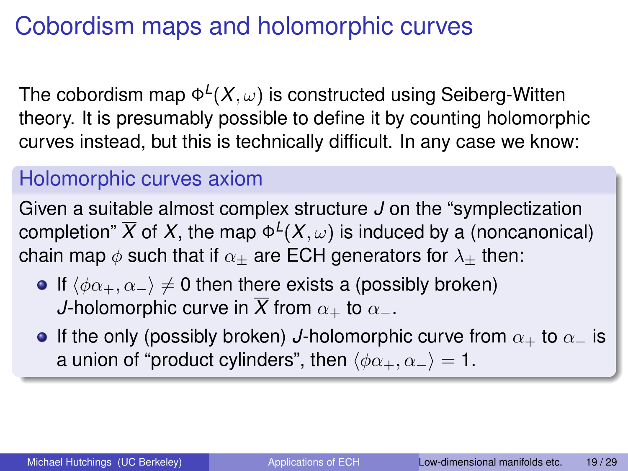### Cobordism maps and holomorphic curves

The cobordism map  $\Phi^L(X,\omega)$  is constructed using Seiberg-Witten theory. It is presumably possible to define it by counting holomorphic curves instead, but this is technically difficult. In any case we know:

#### Holomorphic curves axiom

Given a suitable almost complex structure *J* on the "symplectization completion"  $\overline{X}$  of  $X$ , the map  $\Phi^L(X,\omega)$  is induced by a (noncanonical) chain map  $\phi$  such that if  $\alpha_{+}$  are ECH generators for  $\lambda_{+}$  then:

- If  $\langle \phi \alpha_+, \alpha_- \rangle \neq 0$  then there exists a (possibly broken) *J*-holomorphic curve in  $\overline{X}$  from  $\alpha_+$  to  $\alpha_-$ .
- **If the only (possibly broken)** *J***-holomorphic curve from**  $\alpha_+$  **to**  $\alpha_-$  **is** a union of "product cylinders", then  $\langle \phi \alpha_+, \alpha_- \rangle = 1$ .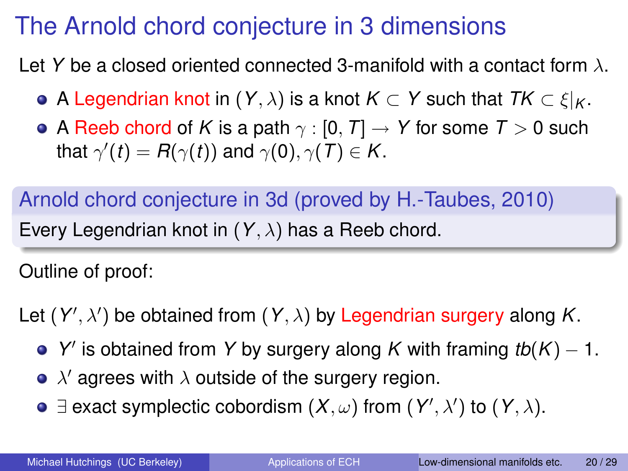### The Arnold chord conjecture in 3 dimensions

Let *Y* be a closed oriented connected 3-manifold with a contact form  $\lambda$ .

- $\bullet$  A Legendrian knot in (*Y*,  $\lambda$ ) is a knot *K* ⊂ *Y* such that *TK* ⊂  $\xi|_K$ .
- A Reeb chord of *K* is a path  $\gamma$  : [0, *T*]  $\rightarrow$  *Y* for some *T*  $>$  0 such that  $\gamma'(t) = R(\gamma(t))$  and  $\gamma(0), \gamma(T) \in K$ .

Arnold chord conjecture in 3d (proved by H.-Taubes, 2010) Every Legendrian knot in (*Y*, λ) has a Reeb chord.

Outline of proof:

Let  $(Y', \lambda')$  be obtained from  $(Y, \lambda)$  by Legendrian surgery along K.

- *Y*' is obtained from *Y* by surgery along *K* with framing *tb*(*K*) − 1.
- $\lambda'$  agrees with  $\lambda$  outside of the surgery region.
- <span id="page-19-0"></span>∃ exact symplectic cobordism  $(X, ω)$  from  $(Y', λ')$  to  $(Y, λ)$ .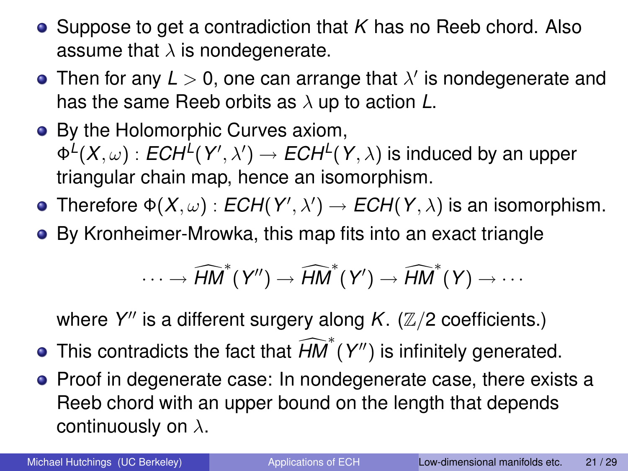- Suppose to get a contradiction that *K* has no Reeb chord. Also assume that  $\lambda$  is nondegenerate.
- Then for any  $L > 0$ , one can arrange that  $\lambda'$  is nondegenerate and has the same Reeb orbits as λ up to action *L*.
- By the Holomorphic Curves axiom,  $\Phi^L(X,\omega):ECH^L(Y',\lambda')\to ECH^L(Y,\lambda)$  is induced by an upper triangular chain map, hence an isomorphism.
- Therefore  $\Phi(X,\omega)$  :  $ECH(Y',\lambda') \to ECH(Y,\lambda)$  is an isomorphism.
- By Kronheimer-Mrowka, this map fits into an exact triangle

$$
\cdots \to \widehat{\mathit{HM}}^\ast(Y'') \to \widehat{\mathit{HM}}^\ast(Y') \to \widehat{\mathit{HM}}^\ast(Y) \to \cdots
$$

where Y" is a different surgery along *K*. (Z/2 coefficients.)

- This contradicts the fact that  $\widehat{HM}^*(Y'')$  is infinitely generated.
- **•** Proof in degenerate case: In nondegenerate case, there exists a Reeb chord with an upper bound on the length that depends continuously on  $\lambda$ .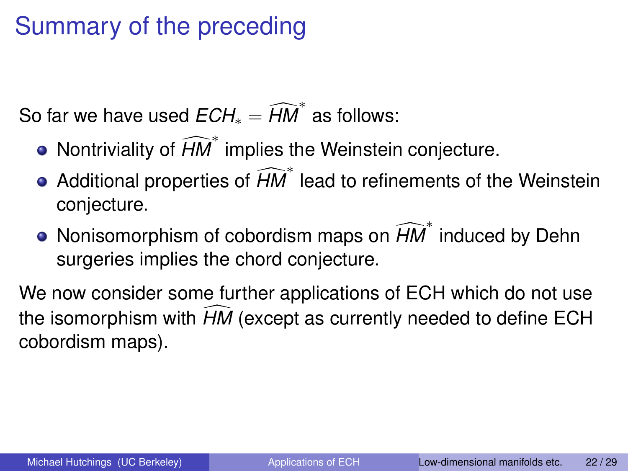### Summary of the preceding

So far we have used  $ECH_* = \widehat{HM}^*$  as follows:

- Nontriviality of *HM*<sup>\*</sup> implies the Weinstein conjecture.
- Additional properties of *HM*<sup>∗</sup> lead to refinements of the Weinstein conjecture.
- Nonisomorphism of cobordism maps on  $\widehat{HM}^*$  induced by Dehn surgeries implies the chord conjecture.

We now consider some further applications of ECH which do not use the isomorphism with *HM* (except as currently needed to define ECH cobordism maps).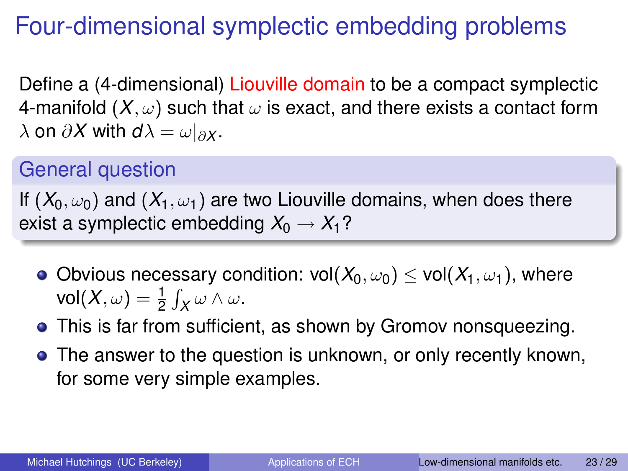### Four-dimensional symplectic embedding problems

Define a (4-dimensional) Liouville domain to be a compact symplectic 4-manifold  $(X, \omega)$  such that  $\omega$  is exact, and there exists a contact form  $\lambda$  on  $\partial X$  with  $d\lambda = \omega|_{\partial X}$ .

#### General question

If  $(X_0, \omega_0)$  and  $(X_1, \omega_1)$  are two Liouville domains, when does there exist a symplectic embedding  $X_0 \to X_1$ ?

- Obvious necessary condition:  $vol(X_0, \omega_0) \le vol(X_1, \omega_1)$ , where  $\mathsf{vol}(X,\omega) = \frac{1}{2} \int_X \omega \wedge \omega.$
- This is far from sufficient, as shown by Gromov nonsqueezing.
- The answer to the question is unknown, or only recently known, for some very simple examples.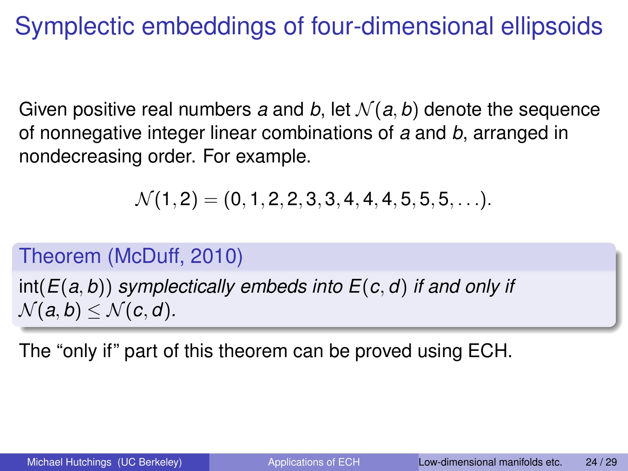### Symplectic embeddings of four-dimensional ellipsoids

Given positive real numbers *a* and *b*, let  $\mathcal{N}(a, b)$  denote the sequence of nonnegative integer linear combinations of *a* and *b*, arranged in nondecreasing order. For example.

<span id="page-23-0"></span>
$$
\mathcal{N}(1,2)=(0,1,2,2,3,3,4,4,4,5,5,5,\ldots).
$$

#### Theorem (McDuff, 2010)

int(*E*(*a*, *b*)) *symplectically embeds into E*(*c*, *d*) *if and only if*  $\mathcal{N}(a, b) \leq \mathcal{N}(c, d)$ .

The "only if" part of this theorem can be proved using ECH.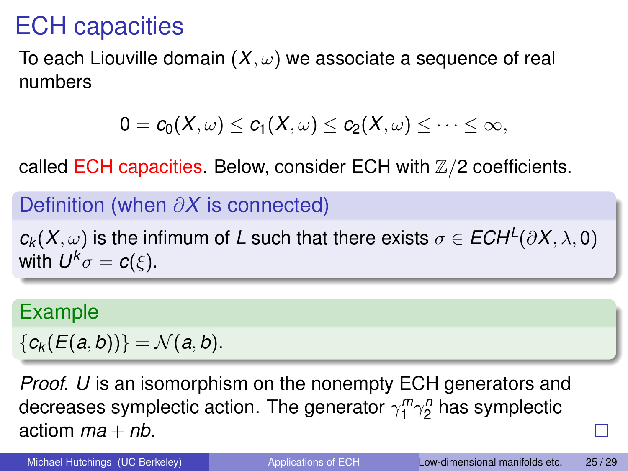### ECH capacities

To each Liouville domain  $(X, \omega)$  we associate a sequence of real numbers

$$
0 = c_0(X,\omega) \leq c_1(X,\omega) \leq c_2(X,\omega) \leq \cdots \leq \infty,
$$

called ECH capacities. Below, consider ECH with  $\mathbb{Z}/2$  coefficients.

#### Definition (when ∂*X* is connected)

 $c_k(X,\omega)$  is the infimum of *L* such that there exists  $\sigma \in ECH^L(\partial X, \lambda, \mathbf{0})$ with  $U^k\sigma = c(\xi).$ 

#### Example

 ${c_k(E(a,b))} = N(a,b).$ 

*Proof. U* is an isomorphism on the nonempty ECH generators and decreases symplectic action. The generator  $\gamma_1^m \gamma_2^n$  has symplectic actiom  $ma + nb$ .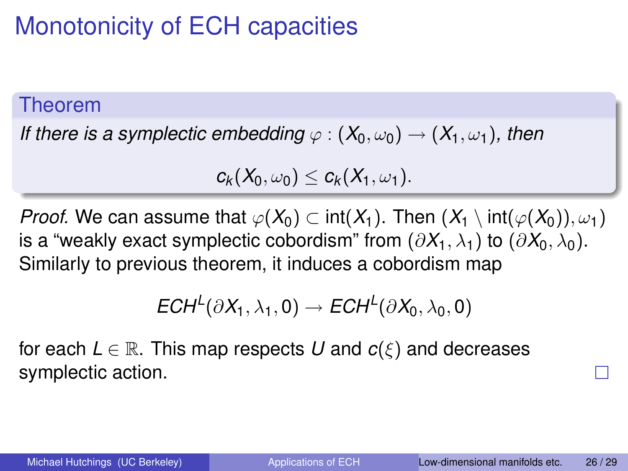### Monotonicity of ECH capacities

#### Theorem

*If there is a symplectic embedding*  $\varphi$  :  $(X_0, \omega_0) \rightarrow (X_1, \omega_1)$ *, then* 

$$
c_k(X_0,\omega_0)\leq c_k(X_1,\omega_1).
$$

*Proof.* We can assume that  $\varphi(X_0) \subset \text{int}(X_1)$ . Then  $(X_1 \setminus \text{int}(\varphi(X_0)), \omega_1)$ is a "weakly exact symplectic cobordism" from  $(\partial X_1, \lambda_1)$  to  $(\partial X_0, \lambda_0)$ . Similarly to previous theorem, it induces a cobordism map

$$
ECH^L(\partial X_1,\lambda_1,0)\to ECH^L(\partial X_0,\lambda_0,0)
$$

for each  $L \in \mathbb{R}$ . This map respects U and  $c(\xi)$  and decreases symplectic action.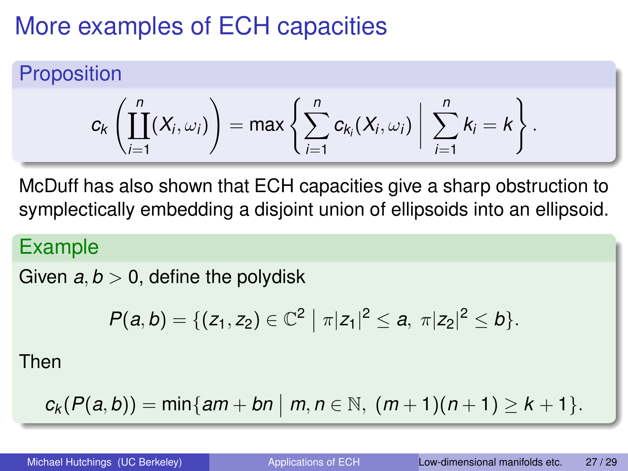### More examples of ECH capacities

**Proposition** 

$$
c_k\left(\prod_{i=1}^n(X_i,\omega_i)\right)=\max\left\{\sum_{i=1}^n c_{k_i}(X_i,\omega_i)\middle|\sum_{i=1}^n k_i=k\right\}.
$$

McDuff has also shown that ECH capacities give a sharp obstruction to symplectically embedding a disjoint union of ellipsoids into an ellipsoid.

#### Example

Given  $a, b > 0$ , define the polydisk

$$
P(a,b)=\{(z_1,z_2)\in\mathbb{C}^2\mid \pi|z_1|^2\leq a,\ \pi|z_2|^2\leq b\}.
$$

Then

$$
c_k(P(a,b)) = \min\{am + bn \mid m, n \in \mathbb{N}, (m+1)(n+1) \geq k+1\}.
$$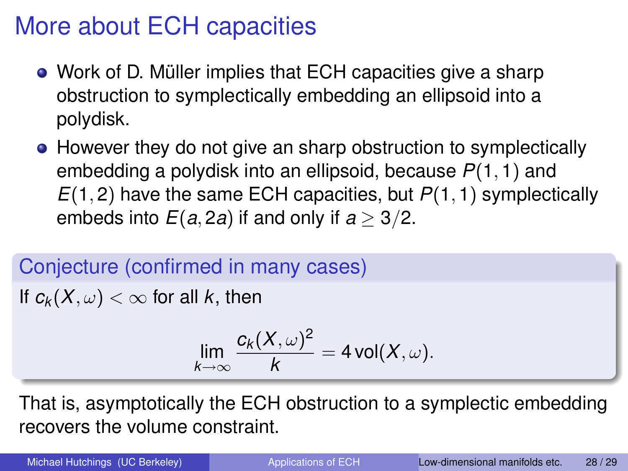### More about ECH capacities

- Work of D. Müller implies that ECH capacities give a sharp obstruction to symplectically embedding an ellipsoid into a polydisk.
- However they do not give an sharp obstruction to symplectically embedding a polydisk into an ellipsoid, because *P*(1, 1) and *E*(1, 2) have the same ECH capacities, but *P*(1, 1) symplectically embeds into  $E(a, 2a)$  if and only if  $a > 3/2$ .

Conjecture (confirmed in many cases) If  $c_k(X, \omega) < \infty$  for all *k*, then

$$
\lim_{k\to\infty}\frac{c_k(X,\omega)^2}{k}=4\operatorname{vol}(X,\omega).
$$

That is, asymptotically the ECH obstruction to a symplectic embedding recovers the volume constraint.